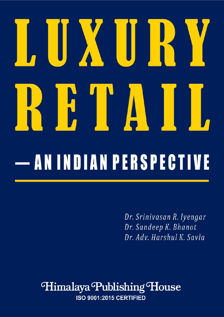# XIIIK  $\overline{\phantom{0}}$ - AN INDIAN PERSPECTIVE

Dr. Srinivasan R. Iyengar Dr. Sandeep K. Bhanot Dr. Adv. Harshul K. Savla

Himalaya Publishing House **ISO 9001:2015 CERTIFIED**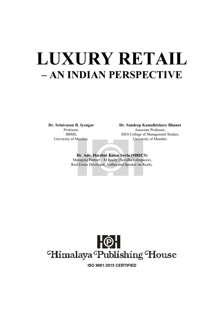# **LUXURY RETAIL – AN INDIAN PERSPECTIVE**

**Dr. Srinivasan R. Iyengar Dr. Sandeep Kamalkishore Bhanot** Professor, Associate Professor, JBIMS, SIES College of Management Studies, University of Mumbai. University of Mumbai.

> **Dr. Adv. Harshul Ketan Savla (MRICS)** Managing Partner – M Realty (Suvidha Lifespaces), Real Estate Developer, Author and Speaker on Realty.

> > .



**ISO 9001:2015 CERTIFIED**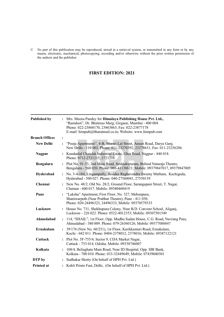© No part of this publication may be reproduced, stored in a retrieval system, or transmitted in any form or by any means, electronic, mechanical, photocopying, recording and/or otherwise without the prior written permission of the authors and the publisher.

# **FIRST EDITION: 2021**

| <b>Published by</b>   | Mrs. Meena Pandey for Himalaya Publishing House Pvt. Ltd.,<br>"Ramdoot", Dr. Bhalerao Marg, Girgaon, Mumbai - 400 004.<br>Phone: 022-23860170, 23863863; Fax: 022-23877178<br>E-mail: himpub@bharatmail.co.in; Website: www.himpub.com |
|-----------------------|----------------------------------------------------------------------------------------------------------------------------------------------------------------------------------------------------------------------------------------|
| <b>Branch Offices</b> | :                                                                                                                                                                                                                                      |
| <b>New Delhi</b>      | "Pooja Apartments", 4-B, Murari Lal Street, Ansari Road, Darya Ganj,<br>$\ddot{\phantom{a}}$<br>New Delhi - 110 002. Phone: 011-23270392, 23278631; Fax: 011-23256286                                                                  |
| <b>Nagpur</b>         | : Kundanlal Chandak Industrial Estate, Ghat Road, Nagpur - 440 018.<br>Phone: 0712-2721215, 2721216                                                                                                                                    |
| Bengaluru             | : Plot No. 91-33, 2nd Main Road, Seshadripuram, Behind Nataraja Theatre,<br>Bengaluru - 560 020. Phone: 080-41138821; Mobile: 09379847017, 09379847005                                                                                 |
| Hyderabad             | : No. 3-4-184, Lingampally, Besides Raghavendra Swamy Matham, Kachiguda,<br>Hyderabad - 500 027. Phone: 040-27560041, 27550139                                                                                                         |
| Chennai               | : New No. 48/2, Old No. 28/2, Ground Floor, Sarangapani Street, T. Nagar,<br>Chennai - 600 017. Mobile: 09380460419                                                                                                                    |
| Pune                  | : "Laksha" Apartment, First Floor, No. 527, Mehunpura,<br>Shaniwarpeth (Near Prabhat Theatre), Pune - 411 030.<br>Phone: 020-24496323, 24496333; Mobile: 09370579333                                                                   |
| Lucknow               | : House No. 731, Shekhupura Colony, Near B.D. Convent School, Aligani,<br>Lucknow - 226 022. Phone: 0522-4012353; Mobile: 09307501549                                                                                                  |
| Ahmedabad             | : 114, "SHAIL", 1st Floor, Opp. Madhu Sudan House, C.G. Road, Navrang Pura,<br>Ahmedabad - 380 009. Phone: 079-26560126; Mobile: 09377088847                                                                                           |
| Ernakulam             | : 39/176 (New No. 60/251), 1st Floor, Karikkamuri Road, Ernakulam,<br>Kochi - 682 011. Phone: 0484-2378012, 2378016; Mobile: 09387122121                                                                                               |
| Cuttack               | : Plot No. 5F-755/4, Sector 9, CDA Market Nagar,<br>Cuttack - 753 014, Odisha. Mobile: 09338746007                                                                                                                                     |
| Kolkata               | 108/4, Beliaghata Main Road, Near ID Hospital, Opp. SBI Bank,<br>$\ddot{\cdot}$<br>Kolkata - 700 010. Phone: 033-32449649; Mobile: 07439040301                                                                                         |
| DTP by                | Sudhakar Shetty (On behalf of HPH Pvt. Ltd.)<br>$\ddot{\cdot}$                                                                                                                                                                         |
| <b>Printed at</b>     | Kohli Printo Fast, Delhi, (On behalf of HPH Pvt. Ltd.)                                                                                                                                                                                 |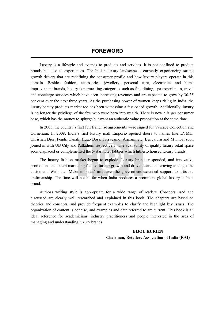# **FOREWORD**

Luxury is a lifestyle and extends to products and services. It is not confined to product brands but also to experiences. The Indian luxury landscape is currently experiencing strong growth drivers that are redefining the consumer profile and how luxury players operate in this domain. Besides fashion, accessories, jewellery, personal care, electronics and home improvement brands, luxury is permeating categories such as fine dining, spa experiences, travel and concierge services which have seen increasing revenues and are expected to grow by 30-35 per cent over the next three years. As the purchasing power of women keeps rising in India, the luxury beauty products market too has been witnessing a fast-paced growth. Additionally, luxury is no longer the privilege of the few who were born into wealth. There is now a larger consumer base, which has the money to splurge but want an authentic value proposition at the same time.

In 2005, the country's first full franchise agreements were signed for Versace Collection and Corneliani. In 2008, India's first luxury mall Emporio opened doors to names like LVMH, Christian Dior, Fendi, Canali, Hugo Boss, Ferragamo, Armani, etc. Bengaluru and Mumbai soon joined in with UB City and Palladium respectively. The availability of quality luxury retail space soon displaced or complemented the 5-star hotel lobbies which hitherto housed luxury brands.

The luxury fashion market began to explode. Luxury brands responded, and innovative promotions and smart marketing fuelled further growth and drove desire and craving amongst the customers. With the 'Make in India' initiative, the government extended support to artisanal craftmanship. The time will not be far when India produces a prominent global luxury fashion brand.

Authors writing style is appropriate for a wide range of readers. Concepts used and discussed are clearly well researched and explained in this book. The chapters are based on theories and concepts, and provide frequent examples to clarify and highlight key issues. The organization of content is concise, and examples and data referred to are current. This book is an ideal reference for academicians, industry practitioners and people interested in the area of managing and understanding luxury brands.

> **BIJOU KURIEN Chairman, Retailers Association of India (RAI)**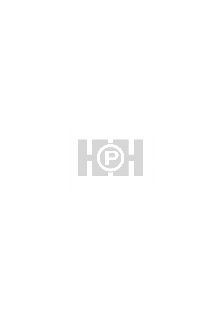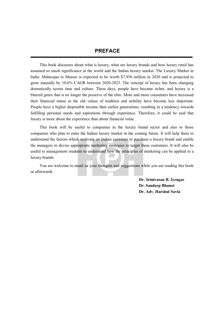## **PREFACE**

This book discusses about what is luxury, what are luxury brands and how luxury retail has assumed so much significance in the world and the Indian luxury market. The Luxury Market in India: Maharajas to Masses is expected to be worth \$7,956 million in 2020 and is projected to grow annually by 10.6% CAGR between 2020-2023. The concept of luxury has been changing dramatically across time and culture. These days, people have become richer, and luxury is a blurred genre that is no longer the preserve of the elite. More and more consumers have increased their financial status as the old values of tradition and nobility have become less important. People have a higher disposable income than earlier generations, resulting in a tendency towards fulfilling personal needs and aspirations through experience. Therefore, it could be said that luxury is more about the experience than about financial value.

This book will be useful to companies in the luxury brand sector and also to those companies who plan to enter the Indian luxury market in the coming future. It will help them to understand the factors which motivate an Indian customer to purchase a luxury brand and enable the managers to devise appropriate marketing strategies to target these customers. It will also be useful to management students to understand how the principles of marketing can be applied to a luxury brands.

You are welcome to email us your thoughts and suggestions while you are reading this book or afterwards.

> **Dr. Srinivasan R. Iyengar Dr. Sandeep Bhanot Dr. Adv. Harshul Savla**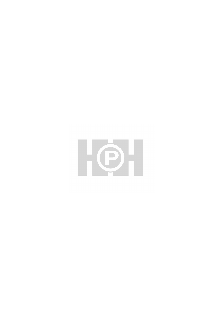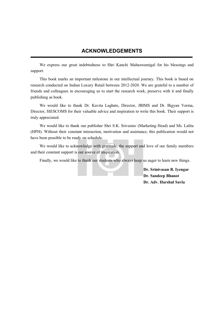# **ACKNOWLEDGEMENTS**

We express our great indebtedness to Shri Kanchi Mahaswamigal for his blessings and support.

This book marks an important milestone in our intellectual journey. This book is based on research conducted on Indian Luxury Retail between 2012-2020. We are grateful to a number of friends and colleagues in encouraging us to start the research work, preserve with it and finally publishing as book.

We would like to thank Dr. Kavita Laghate, Director, JBIMS and Dr. Bigyan Verma, Director, SIESCOMS for their valuable advice and inspiration to write this book. Their support is truly appreciated.

We would like to thank our publisher Shri S.K. Srivastav (Marketing Head) and Ms. Lalita (HPH). Without their constant interaction, motivation and assistance, this publication would not have been possible to be ready on schedule.

We would like to acknowledge with gratitude, the support and love of our family members and their constant support is our source of inspiration.

Finally, we would like to thank our students who always keep us eager to learn new things.

**Dr. Srinivasan R. Iyengar Dr. Sandeep Bhanot Dr. Adv. Harshul Savla**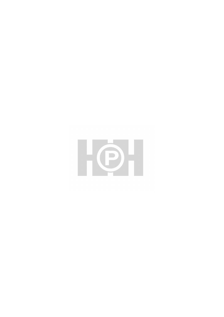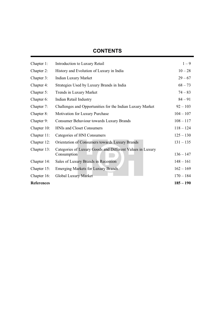# **CONTENTS**

| Chapter 1:        | Introduction to Luxury Retail                             | $1 - 9$     |
|-------------------|-----------------------------------------------------------|-------------|
| Chapter 2:        | History and Evolution of Luxury in India                  | $10 - 28$   |
| Chapter 3:        | <b>Indian Luxury Market</b>                               | $29 - 67$   |
| Chapter 4:        | Strategies Used by Luxury Brands in India                 | $68 - 73$   |
| Chapter 5:        | Trends in Luxury Market                                   | $74 - 83$   |
| Chapter 6:        | Indian Retail Industry                                    | $84 - 91$   |
| Chapter 7:        | Challenges and Opportunities for the Indian Luxury Market | $92 - 103$  |
| Chapter 8:        | Motivation for Luxury Purchase                            | $104 - 107$ |
| Chapter 9:        | Consumer Behaviour towards Luxury Brands                  | $108 - 117$ |
| Chapter 10:       | HNIs and Closet Consumers                                 | $118 - 124$ |
| Chapter 11:       | Categories of HNI Consumers                               | $125 - 130$ |
| Chapter 12:       | Orientation of Consumers towards Luxury Brands            | $131 - 135$ |
| Chapter 13:       | Categories of Luxury Goods and Different Values in Luxury |             |
|                   | Consumption                                               | $136 - 147$ |
| Chapter 14:       | Sales of Luxury Brands in Recession                       | $148 - 161$ |
| Chapter 15:       | <b>Emerging Markets for Luxury Brands</b>                 | $162 - 169$ |
| Chapter 16:       | <b>Global Luxury Market</b>                               | $170 - 184$ |
| <b>References</b> |                                                           | $185 - 190$ |
|                   |                                                           |             |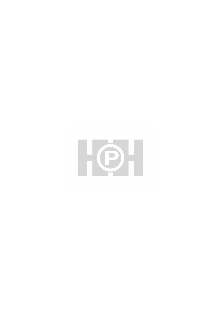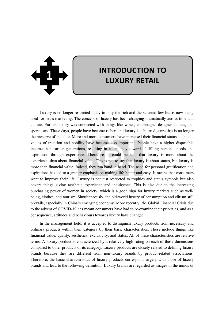

# **1 INTRODUCTION TO LUXURY RETAIL**

Luxury is no longer restricted today to only the rich and the selected few but is now being used for mass marketing. The concept of luxury has been changing dramatically across time and culture. Earlier, luxury was connected with things like wines, champagne, designer clothes, and sports cars. These days, people have become richer, and luxury is a blurred genre that is no longer the preserve of the elite. More and more consumers have increased their financial status as the old values of tradition and nobility have become less important. People have a higher disposable income than earlier generations, resulting in a tendency towards fulfilling personal needs and aspirations through experience. Therefore, it could be said that luxury is more about the experience than about financial value. This is not to say that luxury is about status, but luxury is more than financial value. Indeed, they run hand in hand. The need for personal gratification and aspirations has led to a greater emphasis on making life better and easy. It means that consumers want to improve their life. Luxury is not just restricted to trophies and status symbols but also covers things giving aesthetic experience and indulgence. This is also due to the increasing purchasing power of women in society, which is a good sign for luxury markets such as wellbeing, clothes, and tourism. Simultaneously, the old-world luxury of consumption and elitism still prevails, especially in China's emerging economy. More recently, the Global Financial Crisis due to the advent of COVID-19 has meant consumers have had to re-examine their priorities, and as a consequence, attitudes and behaviours towards luxury have changed.

In the management field, it is accepted to distinguish luxury products from necessary and ordinary products within their category by their basic characteristics. These include things like financial value, quality, aesthetics, exclusivity, and status. All of these characteristics are relative terms. A luxury product is characterized by a relatively high rating on each of these dimensions compared to other products of its category. Luxury products are closely related to defining luxury brands because they are different from non-luxury brands by product-related associations. Therefore, the basic characteristics of luxury products correspond largely with those of luxury brands and lead to the following definition: Luxury brands are regarded as images in the minds of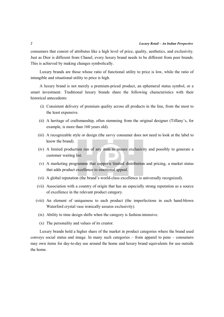consumers that consist of attributes like a high level of price, quality, aesthetics, and exclusivity. Just as Dior is different from Chanel, every luxury brand needs to be different from peer brands. This is achieved by making changes symbolically.

Luxury brands are those whose ratio of functional utility to price is low, while the ratio of intangible and situational utility to price is high.

A luxury brand is not merely a premium-priced product, an ephemeral status symbol, or a smart investment. Traditional luxury brands share the following characteristics with their historical antecedents:

- (i) Consistent delivery of premium quality across all products in the line, from the most to the least expensive.
- (ii) A heritage of craftsmanship, often stemming from the original designer (Tiffany's, for example, is more than 160 years old).
- (iii) A recognizable style or design (the savvy consumer does not need to look at the label to know the brand).
- (iv) A limited production run of any item to ensure exclusivity and possibly to generate a customer waiting list.
- (v) A marketing programme that supports limited distribution and pricing, a market status that adds product excellence to emotional appeal.
- (vi) A global reputation (the brand's world-class excellence is universally recognized).
- (vii) Association with a country of origin that has an especially strong reputation as a source of excellence in the relevant product category.
- (viii) An element of uniqueness to each product (the imperfections in each hand-blown Waterford crystal vase ironically assures exclusivity).
	- (ix) Ability to time design shifts when the category is fashion-intensive.
	- (x) The personality and values of its creator.

Luxury brands hold a higher share of the market in product categories where the brand used conveys social status and image. In many such categories – from apparel to pens – consumers may own items for day-to-day use around the home and luxury brand equivalents for use outside the home.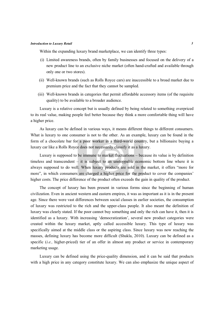Within the expanding luxury brand marketplace, we can identify three types:

- (i) Limited awareness brands, often by family businesses and focused on the delivery of a new product line to an exclusive niche market (often hand-crafted and available through only one or two stores).
- (ii) Well-known brands (such as Rolls Royce cars) are inaccessible to a broad market due to premium price and the fact that they cannot be sampled.
- (iii) Well-known brands in categories that permit affordable accessory items (of the requisite quality) to be available to a broader audience.

Luxury is a relative concept but is usually defined by being related to something overpriced to its real value, making people feel better because they think a more comfortable thing will have a higher price.

As luxury can be defined in various ways, it means different things to different consumers. What is luxury to one consumer is not to the other. As an example, luxury can be found in the form of a chocolate bar for a poor worker in a third-world country, but a billionaire buying a luxury car like a Rolls Royce does not necessarily classify it as a luxury.

Luxury is supposed to be immune to market fluctuations – because its value is by definition timeless and transcendent – it is subject to an unstoppable economic bottom line where it is always supposed to do well. When luxury products are sold in the market, it offers "more for more", in which consumers are charged a higher price for the product to cover the companies' higher costs. The price difference of the product often exceeds the gain in quality of the product.

The concept of luxury has been present in various forms since the beginning of human civilization. Even in ancient western and eastern empires, it was as important as it is in the present age. Since there were vast differences between social classes in earlier societies, the consumption of luxury was restricted to the rich and the upper-class people. It also meant the definition of luxury was clearly stated. If the poor cannot buy something and only the rich can have it, then it is identified as a luxury. With increasing 'democratization', several new product categories were created within the luxury market, aptly called accessible luxury. This type of luxury was specifically aimed at the middle class or the aspiring class. Since luxury was now reaching the masses, defining luxury has become more difficult (Shukla, 2010). Luxury can be defined as a specific *(i.e., higher-priced)* tier of an offer in almost any product or service in contemporary marketing usage.

Luxury can be defined using the price-quality dimension, and it can be said that products with a high price in any category constitute luxury. We can also emphasize the unique aspect of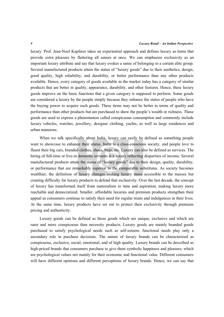luxury. Prof. Jean-Noel Kapferer takes an experiential approach and defines luxury as items that provide extra pleasure by flattering all senses at once. We can emphasize exclusivity as an important luxury attribute and say that luxury evokes a sense of belonging to a certain elite group. Several manufactured products attain the status of "luxury goods" due to their aesthetics, design, good quality, high reliability, and durability, or better performance than any other products available. Hence, every category of goods available in the market today has a category of similar products that are better in quality, appearance, durability, and other features. Hence, these luxury goods improve on the basic functions that a given category is supposed to perform. Some goods are considered a luxury by the people simply because they enhance the status of people who have the buying power to acquire such goods. These items may not be better in terms of quality and performance than other products but are purchased to show the people's wealth or richness. These goods are used to express a phenomenon called conspicuous consumption and commonly include luxury vehicles, watches, jewellery, designer clothing, yachts, as well as large residences and urban mansions.

When we talk specifically about India, luxury can easily be defined as something people want to showcase to enhance their status. India is a class-conscious society, and people love to flaunt their big cars, branded clothes, shoes, bags, etc. Luxury can also be defined as services. The hiring of full-time or live-in domestic servants is a luxury reflecting disparities of income. Several manufactured products attain the status of "luxury goods" due to their design, quality, durability, or performance that are remarkably superior to the comparable substitutes. As society becomes wealthier, the definition of luxury changes making luxury more accessible to the masses but creating difficulty for luxury products to defend that exclusivity. Over the last decade, the concept of luxury has transformed itself from materialism to time and aspiration, making luxury more reachable and democratized. Smaller, affordable luxuries and premium products strengthen their appeal as consumers continue to satisfy their need for regular treats and indulgences in their lives. At the same time, luxury products have set out to protect their exclusivity through premium pricing and authenticity.

Luxury goods can be defined as those goods which are unique, exclusive and which are rarer and more conspicuous than necessity products. Luxury goods are mainly branded goods purchased to satisfy psychological needs such as self-esteem; functional needs play only a secondary role in purchase decisions. The nature of luxury brands can be characterized as conspicuous, exclusive, social, emotional, and of high quality. Luxury brands can be described as high-priced brands that consumers purchase to give them symbolic happiness and pleasure, which are psychological values not mainly for their economic and functional value. Different consumers will have different opinions and different perceptions of luxury brands. Hence, we can say that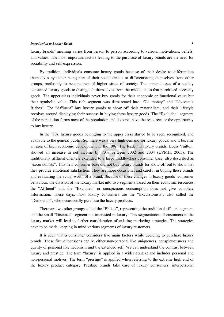#### *Introduction to Luxury Retail 5*

luxury brands' meaning varies from person to person according to various motivations, beliefs, and values. The most important factors leading to the purchase of luxury brands are the need for sociability and self-expression.

By tradition, individuals consume luxury goods because of their desire to differentiate themselves by either being part of their social circles or differentiating themselves from other groups, preferably to become part of higher strata of society. The upper classes of a society consumed luxury goods to distinguish themselves from the middle class that purchased necessity goods. The upper-class individuals never buy goods for their economic or functional value but their symbolic value. This rich segment was demarcated into "Old money" and "Nouveaux Riches". The "Affluent" buy luxury goods to show off their materialism, and their lifestyle revolves around displaying their success in buying these luxury goods. The "Excluded" segment of the population forms most of the population and does not have the resources or the opportunity to buy luxury.

In the '80s, luxury goods belonging to the upper class started to be seen, recognized, and available to the general public. So, there was a very high demand for luxury goods, and it became an area of high economic development in the '90s. The leader in luxury brands, Louis Vuitton, showed an increase in net income by 80% between 2002 and 2004 (LVMH, 2005). The traditionally affluent clientele extended to a large middle-class consumer base, also described as "excursionists". This new consumer base did not buy luxury brands for show-off but to show that they provide emotional satisfaction. They are more occasional and careful in buying these brands and evaluating the actual worth of a brand. Because of these changes in luxury goods' consumer behaviour, the division of the luxury market into two segments based on their economic resources: the "Affluent" and the "Excluded" or conspicuous consumption does not give complete information. These days, most luxury consumers are the "Excursionists", also called the "Democrats", who occasionally purchase the luxury products.

There are two other groups called the "Elitists", representing the traditional affluent segment and the small "Distance" segment not interested in luxury. This segmentation of customers in the luxury market will lead to further consideration of existing marketing strategies. The strategies have to be made, keeping in mind various segments of luxury customers.

It is seen that a consumer considers five main factors while deciding to purchase luxury brands. These five dimensions can be either non-personal like uniqueness, conspicuousness and quality or personal like hedonism and the extended self. We can understand the contrast between luxury and prestige. The term "luxury" is applied in a wider context and includes personal and non-personal motives. The term "prestige" is applied when referring to the extreme high end of the luxury product category. Prestige brands take care of luxury consumers' interpersonal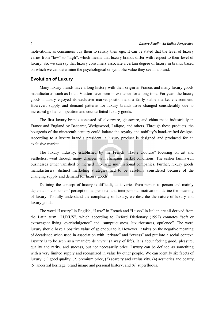motivations, as consumers buy them to satisfy their ego. It can be stated that the level of luxury varies from "low" to "high", which means that luxury brands differ with respect to their level of luxury. So, we can say that luxury consumers associate a certain degree of luxury in brands based on which we can determine the psychological or symbolic value they see in a brand.

### **Evolution of Luxury**

Many luxury brands have a long history with their origin in France, and many luxury goods manufacturers such as Louis Vuitton have been in existence for a long time. For years the luxury goods industry enjoyed its exclusive market position and a fairly stable market environment. However, supply and demand patterns for luxury brands have changed considerably due to increased global competition and counterfeited luxury goods.

The first luxury brands consisted of silverware, glassware, and china made industrially in France and England by Baccarat, Wedgewood, Lalique, and others. Through these products, the bourgeois of the nineteenth century could imitate the royalty and nobility's hand-crafted designs. According to a luxury brand's president, a luxury product is designed and produced for an exclusive market.

The luxury industry, established by the French "Haute Couture" focusing on art and aesthetics, went through many changes with changing market conditions. The earlier family-run businesses either vanished or merged into large multinational companies. Further, luxury goods manufacturers' distinct marketing strategies had to be carefully considered because of the changing supply and demand for luxury goods.

Defining the concept of luxury is difficult, as it varies from person to person and mainly depends on consumers' perception, as personal and interpersonal motivations define the meaning of luxury. To fully understand the complexity of luxury, we describe the nature of luxury and luxury goods.

The word "Luxury" in English, "Luxe" in French and "Lusso" in Italian are all derived from the Latin term "LUXUS", which according to Oxford Dictionary (1992) connotes "soft or extravagant living, overindulgence" and "sumptuousness, luxuriousness, opulence". The word luxury should have a positive value of splendour to it. However, it takes on the negative meaning of decadence when used in association with "private" and "excess" and put into a social context. Luxury is to be seen as a "manière de vivre" (a way of life). It is about feeling good, pleasure, quality and rarity, and success, but not necessarily price. Luxury can be defined as something with a very limited supply and recognized in value by other people. We can identify six facets of luxury: (1) good quality, (2) premium price, (3) scarcity and exclusivity, (4) aesthetics and beauty, (5) ancestral heritage, brand image and personal history, and (6) superfluous.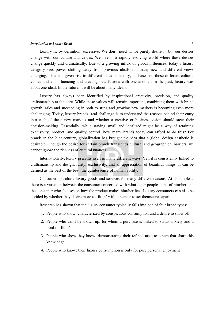#### *Introduction to Luxury Retail 7*

Luxury is, by definition, excessive. We don't need it, we purely desire it, but our desires change with our culture and values. We live in a rapidly evolving world where these desires change quickly and dramatically. Due to a growing influx of global influences, today's luxury category sees power shifting away from previous ideals and many new and different views emerging. This has given rise to different takes on luxury, all based on those different cultural values and all influencing and creating new fusions with one another. In the past, luxury was about one ideal. In the future, it will be about many ideals.

Luxury has always been identified by inspirational creativity, precision, and quality craftsmanship at the core. While these values will remain important, combining them with brand growth, sales and succeeding in both existing and growing new markets is becoming even more challenging. Today, luxury brands' real challenge is to understand the reasons behind their entry into each of these new markets and whether a creative or business vision should steer their decision-making. Essentially, while staying small and localized might be a way of retaining exclusivity, product, and quality control, how many brands today can afford to do this? For brands in the 21st century, globalization has brought the idea that a global design aesthetic is desirable. Though the desire for certain brands transcends cultural and geographical barriers, we cannot ignore the richness of cultural nuances.

Internationally, luxury presents itself in many different ways. Yet, it is consistently linked to craftsmanship and design, rarity, exclusivity, and an appreciation of beautiful things. It can be defined as the best of the best, the quintessence of human ability.

Consumers purchase luxury goods and services for many different reasons. At its simplest, there is a variation between the consumer concerned with what other people think of him/her and the consumer who focuses on how the product makes him/her feel. Luxury consumers can also be divided by whether they desire more to 'fit in' with others or to set themselves apart.

Research has shown that the luxury consumer typically falls into one of four broad types:

- 1. People who show: characterized by conspicuous consumption and a desire to show off
- 2. People who can't be shown up: for whom a purchase is linked to status anxiety and a need to 'fit in'
- 3. People who show they know: demonstrating their refined taste to others that share this knowledge
- 4. People who know: their luxury consumption is only for pure personal enjoyment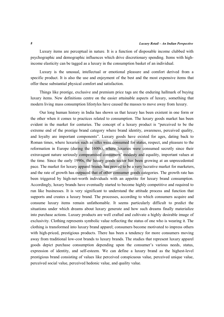Luxury items are perceptual in nature. It is a function of disposable income clubbed with psychographic and demographic influences which drive discretionary spending. Items with highincome elasticity can be tagged as a luxury in the consumption basket of an individual.

Luxury is the unusual, intellectual or emotional pleasure and comfort derived from a specific product. It is also the use and enjoyment of the best and the most expensive items that offer these substantial physical comfort and satisfaction.

Things like prestige, exclusive and premium price tags are the enduring hallmark of buying luxury items. New definitions centre on the easier attainable aspects of luxury, something that modern living mass consumption lifestyles have caused the masses to move away from luxury.

Our long human history in India has shown us that luxury has been existent in one form or the other when it comes to practices related to consumption. The luxury goods market has been evident in the market for centuries. The concept of a luxury product is "perceived to be the extreme end of the prestige brand category where brand identity, awareness, perceived quality, and loyalty are important components". Luxury goods have existed for ages, dating back to Roman times, where luxuries such as silks were consumed for status, respect, and pleasure to the reformation in Europe (during the 1600s), where luxuries were consumed secretly since their extravagant nature seriously compromised consumers' modesty and equality, important values at the time. Since the early 1990s, the luxury goods sector has been growing at an unprecedented pace. The market for luxury apparel brands has proved to be a very lucrative market for marketers, and the rate of growth has outpaced that of other consumer goods categories. The growth rate has been triggered by high-net-worth individuals with an appetite for luxury brand consumption. Accordingly, luxury brands have eventually started to become highly competitive and required to run like businesses. It is very significant to understand the attitude process and function that supports and creates a luxury brand. The processes, according to which consumers acquire and consume luxury items remain unfathomable. It seems particularly difficult to predict the situations under which dreams about luxury generate and how such dreams finally materialize into purchase actions. Luxury products are well crafted and cultivate a highly desirable image of exclusivity. Clothing represents symbolic value reflecting the status of one who is wearing it. The clothing is transformed into luxury brand apparel; consumers become motivated to impress others with high-priced, prestigious products. There has been a tendency for more consumers moving away from traditional low-cost brands to luxury brands. The studies that represent luxury apparel goods depict purchase consumption depending upon the consumer's various needs, status, expression of identity, and self-esteem. We can define a luxury brand as the highest-level prestigious brand consisting of values like perceived conspicuous value, perceived unique value, perceived social value, perceived hedonic value, and quality value.